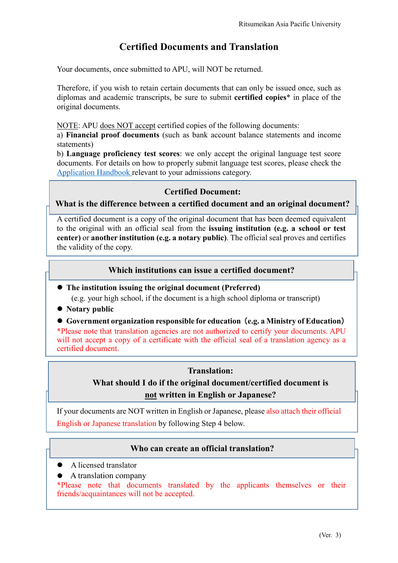# **Certified Documents and Translation**

Your documents, once submitted to APU, will NOT be returned.

Therefore, if you wish to retain certain documents that can only be issued once, such as diplomas and academic transcripts, be sure to submit **certified copies**\* in place of the original documents.

NOTE: APU does NOT accept certified copies of the following documents:

a) **Financial proof documents** (such as bank account balance statements and income statements)

b) **Language proficiency test scores**: we only accept the original language test score documents. For details on how to properly submit language test scores, please check the [Application Handbook](https://admissions.apu.ac.jp/material_download/) relevant to your admissions category.

## **Certified Document:**

**What is the difference between a certified document and an original document?**

A certified document is a copy of the original document that has been deemed equivalent to the original with an official seal from the **issuing institution (e.g. a school or test center)** or **another institution (e.g. a notary public)**. The official seal proves and certifies the validity of the copy.

## **Which institutions can issue a certified document?**

**• The institution issuing the original document (Preferred)** 

(e.g. your high school, if the document is a high school diploma or transcript)

- Notary public
- z **Government organization responsible for education**(**e.g. a Ministry of Education**)

\*Please note that translation agencies are not authorized to certify your documents. APU will not accept a copy of a certificate with the official seal of a translation agency as a certified document.

### **Translation:**

**What should I do if the original document/certified document is not written in English or Japanese?**

If your documents are NOT written in English or Japanese, please also attach their official English or Japanese translation by following Step 4 below.

### **Who can create an official translation?**

- $\bullet$  A licensed translator
- $\bullet$  A translation company

\*Please note that documents translated by the applicants themselves or their friends/acquaintances will not be accepted.